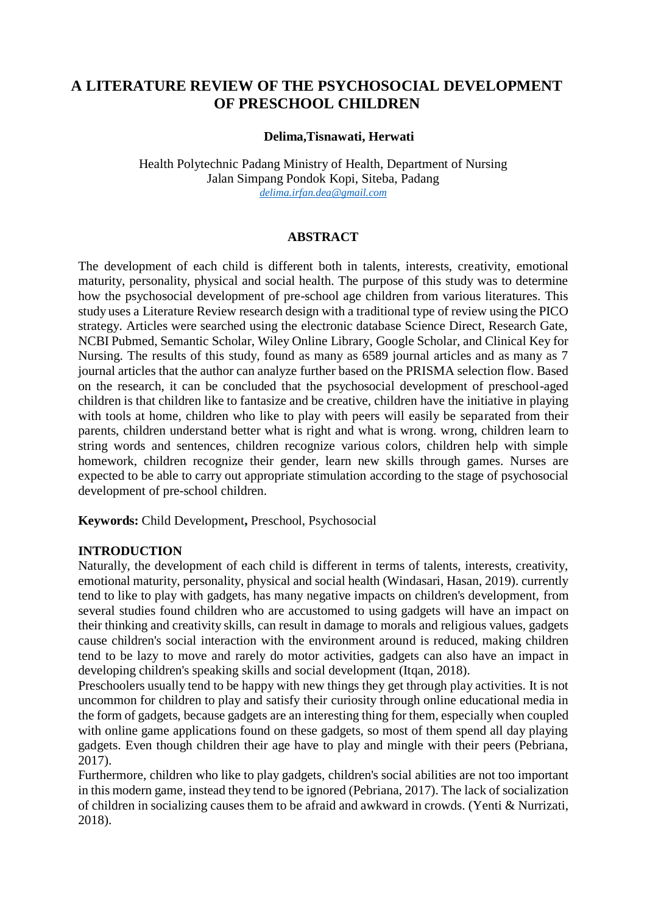# **A LITERATURE REVIEW OF THE PSYCHOSOCIAL DEVELOPMENT OF PRESCHOOL CHILDREN**

## **Delima,Tisnawati, Herwati**

Health Polytechnic Padang Ministry of Health, Department of Nursing Jalan Simpang Pondok Kopi, Siteba, Padang *[delima.irfan.dea@gmail.com](mailto:delima.irfan.dea@gmail.com)*

#### **ABSTRACT**

The development of each child is different both in talents, interests, creativity, emotional maturity, personality, physical and social health. The purpose of this study was to determine how the psychosocial development of pre-school age children from various literatures. This study uses a Literature Review research design with a traditional type of review using the PICO strategy. Articles were searched using the electronic database Science Direct, Research Gate, NCBI Pubmed, Semantic Scholar, Wiley Online Library, Google Scholar, and Clinical Key for Nursing. The results of this study, found as many as 6589 journal articles and as many as 7 journal articles that the author can analyze further based on the PRISMA selection flow. Based on the research, it can be concluded that the psychosocial development of preschool-aged children is that children like to fantasize and be creative, children have the initiative in playing with tools at home, children who like to play with peers will easily be separated from their parents, children understand better what is right and what is wrong. wrong, children learn to string words and sentences, children recognize various colors, children help with simple homework, children recognize their gender, learn new skills through games. Nurses are expected to be able to carry out appropriate stimulation according to the stage of psychosocial development of pre-school children.

**Keywords:** Child Development**,** Preschool, Psychosocial

#### **INTRODUCTION**

Naturally, the development of each child is different in terms of talents, interests, creativity, emotional maturity, personality, physical and social health (Windasari, Hasan, 2019). currently tend to like to play with gadgets, has many negative impacts on children's development, from several studies found children who are accustomed to using gadgets will have an impact on their thinking and creativity skills, can result in damage to morals and religious values, gadgets cause children's social interaction with the environment around is reduced, making children tend to be lazy to move and rarely do motor activities, gadgets can also have an impact in developing children's speaking skills and social development (Itqan, 2018).

Preschoolers usually tend to be happy with new things they get through play activities. It is not uncommon for children to play and satisfy their curiosity through online educational media in the form of gadgets, because gadgets are an interesting thing for them, especially when coupled with online game applications found on these gadgets, so most of them spend all day playing gadgets. Even though children their age have to play and mingle with their peers (Pebriana, 2017).

Furthermore, children who like to play gadgets, children's social abilities are not too important in this modern game, instead they tend to be ignored (Pebriana, 2017). The lack of socialization of children in socializing causes them to be afraid and awkward in crowds. (Yenti & Nurrizati, 2018).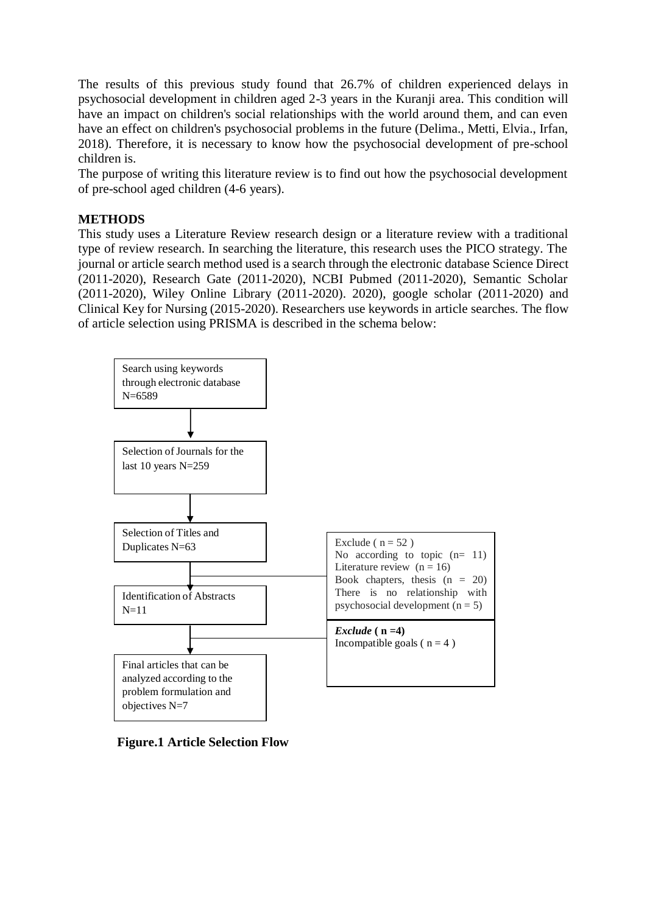The results of this previous study found that 26.7% of children experienced delays in psychosocial development in children aged 2-3 years in the Kuranji area. This condition will have an impact on children's social relationships with the world around them, and can even have an effect on children's psychosocial problems in the future (Delima., Metti, Elvia., Irfan, 2018). Therefore, it is necessary to know how the psychosocial development of pre-school children is.

The purpose of writing this literature review is to find out how the psychosocial development of pre-school aged children (4-6 years).

## **METHODS**

This study uses a Literature Review research design or a literature review with a traditional type of review research. In searching the literature, this research uses the PICO strategy. The journal or article search method used is a search through the electronic database Science Direct (2011-2020), Research Gate (2011-2020), NCBI Pubmed (2011-2020), Semantic Scholar (2011-2020), Wiley Online Library (2011-2020). 2020), google scholar (2011-2020) and Clinical Key for Nursing (2015-2020). Researchers use keywords in article searches. The flow of article selection using PRISMA is described in the schema below:



**Figure.1 Article Selection Flow**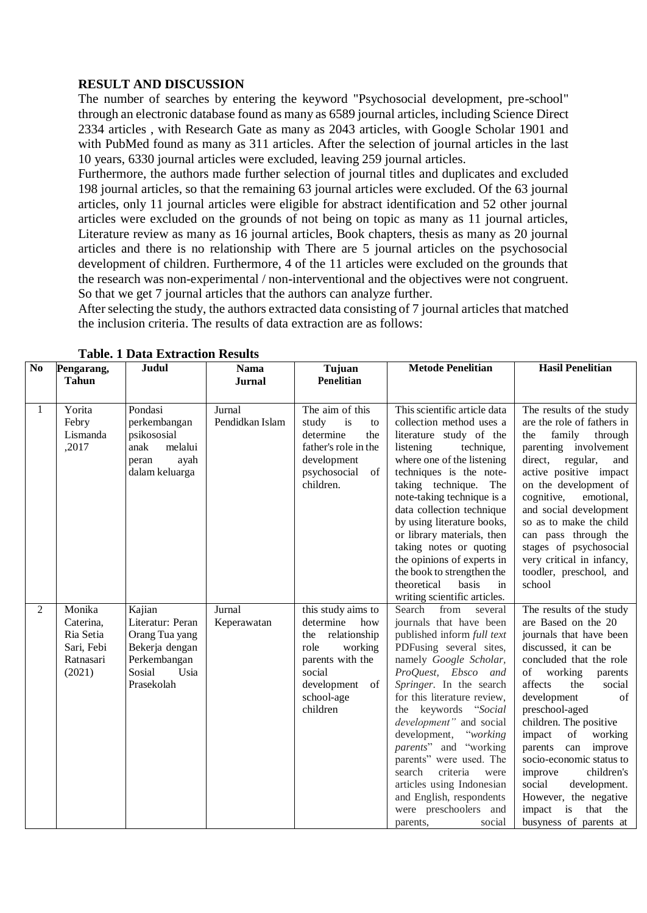## **RESULT AND DISCUSSION**

The number of searches by entering the keyword "Psychosocial development, pre-school" through an electronic database found as many as 6589 journal articles, including Science Direct 2334 articles , with Research Gate as many as 2043 articles, with Google Scholar 1901 and with PubMed found as many as 311 articles. After the selection of journal articles in the last 10 years, 6330 journal articles were excluded, leaving 259 journal articles.

Furthermore, the authors made further selection of journal titles and duplicates and excluded 198 journal articles, so that the remaining 63 journal articles were excluded. Of the 63 journal articles, only 11 journal articles were eligible for abstract identification and 52 other journal articles were excluded on the grounds of not being on topic as many as 11 journal articles, Literature review as many as 16 journal articles, Book chapters, thesis as many as 20 journal articles and there is no relationship with There are 5 journal articles on the psychosocial development of children. Furthermore, 4 of the 11 articles were excluded on the grounds that the research was non-experimental / non-interventional and the objectives were not congruent. So that we get 7 journal articles that the authors can analyze further.

After selecting the study, the authors extracted data consisting of 7 journal articles that matched the inclusion criteria. The results of data extraction are as follows:

| No           | Pengarang,<br><b>Tahun</b>                                            | Judul                                                                                                          | <b>Nama</b>               | Tujuan<br>Penelitian                                                                                                                                       | <b>Metode Penelitian</b>                                                                                                                                                                                                                                                                                                                                                                                                                                                                           | <b>Hasil Penelitian</b>                                                                                                                                                                                                                                                                                                                                                                                                                                                      |
|--------------|-----------------------------------------------------------------------|----------------------------------------------------------------------------------------------------------------|---------------------------|------------------------------------------------------------------------------------------------------------------------------------------------------------|----------------------------------------------------------------------------------------------------------------------------------------------------------------------------------------------------------------------------------------------------------------------------------------------------------------------------------------------------------------------------------------------------------------------------------------------------------------------------------------------------|------------------------------------------------------------------------------------------------------------------------------------------------------------------------------------------------------------------------------------------------------------------------------------------------------------------------------------------------------------------------------------------------------------------------------------------------------------------------------|
|              |                                                                       |                                                                                                                | <b>Jurnal</b>             |                                                                                                                                                            |                                                                                                                                                                                                                                                                                                                                                                                                                                                                                                    |                                                                                                                                                                                                                                                                                                                                                                                                                                                                              |
| $\mathbf{1}$ | Yorita<br>Febry<br>Lismanda<br>,2017                                  | Pondasi<br>perkembangan<br>psikososial<br>melalui<br>anak<br>ayah<br>peran<br>dalam keluarga                   | Jurnal<br>Pendidkan Islam | The aim of this<br>is<br>study<br>to<br>the<br>determine<br>father's role in the<br>development<br>psychosocial<br>of<br>children.                         | This scientific article data<br>collection method uses a<br>literature study of the<br>listening<br>technique,<br>where one of the listening<br>techniques is the note-<br>taking technique.<br>The<br>note-taking technique is a<br>data collection technique<br>by using literature books,<br>or library materials, then<br>taking notes or quoting<br>the opinions of experts in<br>the book to strengthen the<br>theoretical<br>basis<br>in<br>writing scientific articles.                    | The results of the study<br>are the role of fathers in<br>the<br>family<br>through<br>parenting involvement<br>direct, regular,<br>and<br>active positive impact<br>on the development of<br>cognitive,<br>emotional,<br>and social development<br>so as to make the child<br>can pass through the<br>stages of psychosocial<br>very critical in infancy,<br>toodler, preschool, and<br>school                                                                               |
| 2            | Monika<br>Caterina,<br>Ria Setia<br>Sari, Febi<br>Ratnasari<br>(2021) | Kajian<br>Literatur: Peran<br>Orang Tua yang<br>Bekerja dengan<br>Perkembangan<br>Sosial<br>Usia<br>Prasekolah | Jurnal<br>Keperawatan     | this study aims to<br>determine<br>how<br>the relationship<br>role<br>working<br>parents with the<br>social<br>development<br>of<br>school-age<br>children | Search<br>from<br>several<br>journals that have been<br>published inform full text<br>PDFusing several sites,<br>namely Google Scholar,<br>ProQuest, Ebsco and<br>Springer. In the search<br>for this literature review,<br>the keywords "Social<br>development" and social<br>development,<br>"working"<br>parents" and "working<br>parents" were used. The<br>criteria<br>search<br>were<br>articles using Indonesian<br>and English, respondents<br>were preschoolers and<br>social<br>parents, | The results of the study<br>are Based on the 20<br>journals that have been<br>discussed, it can be<br>concluded that the role<br>of working<br>parents<br>affects<br>the<br>social<br>development<br>of<br>preschool-aged<br>children. The positive<br>impact<br>of<br>working<br>parents<br>can<br>improve<br>socio-economic status to<br>improve<br>children's<br>social<br>development.<br>However, the negative<br>is<br>that<br>impact<br>the<br>busyness of parents at |

**Table. 1 Data Extraction Results**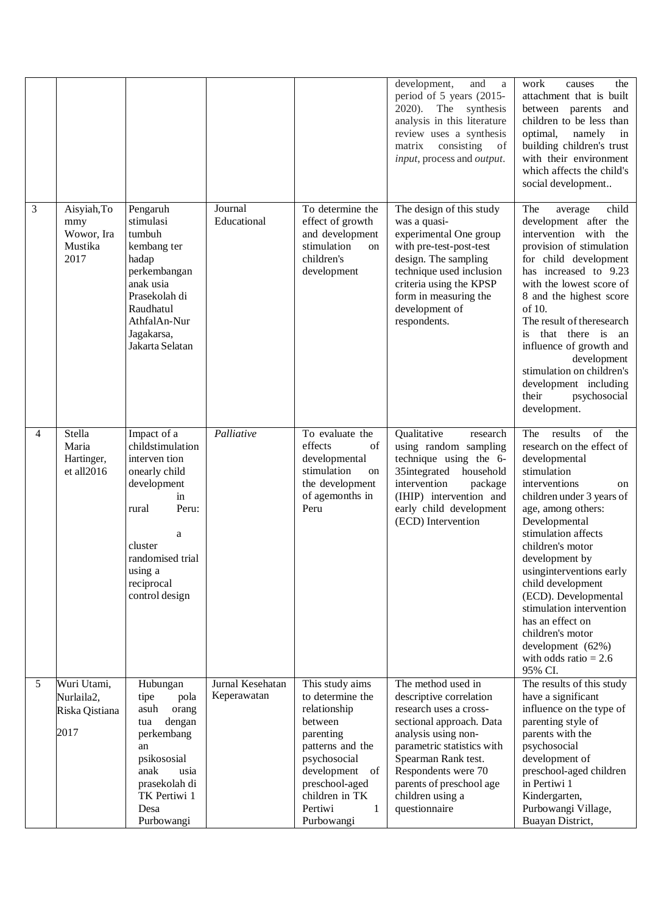|   |                                                     |                                                                                                                                                                                         |                                 |                                                                                                                                                                                                        | development,<br>and<br>a<br>period of 5 years (2015-<br>The<br>2020).<br>synthesis<br>analysis in this literature<br>review uses a synthesis<br>consisting<br>matrix<br>of<br>input, process and <i>output</i> .                                                        | work<br>the<br>causes<br>attachment that is built<br>between parents<br>and<br>children to be less than<br>optimal,<br>namely<br>in<br>building children's trust<br>with their environment<br>which affects the child's<br>social development                                                                                                                                                                                                                                 |
|---|-----------------------------------------------------|-----------------------------------------------------------------------------------------------------------------------------------------------------------------------------------------|---------------------------------|--------------------------------------------------------------------------------------------------------------------------------------------------------------------------------------------------------|-------------------------------------------------------------------------------------------------------------------------------------------------------------------------------------------------------------------------------------------------------------------------|-------------------------------------------------------------------------------------------------------------------------------------------------------------------------------------------------------------------------------------------------------------------------------------------------------------------------------------------------------------------------------------------------------------------------------------------------------------------------------|
| 3 | Aisyiah, To<br>mmy<br>Wowor, Ira<br>Mustika<br>2017 | Pengaruh<br>stimulasi<br>tumbuh<br>kembang ter<br>hadap<br>perkembangan<br>anak usia<br>Prasekolah di<br>Raudhatul<br>AthfalAn-Nur<br>Jagakarsa,<br>Jakarta Selatan                     | Journal<br>Educational          | To determine the<br>effect of growth<br>and development<br>stimulation<br>on<br>children's<br>development                                                                                              | The design of this study<br>was a quasi-<br>experimental One group<br>with pre-test-post-test<br>design. The sampling<br>technique used inclusion<br>criteria using the KPSP<br>form in measuring the<br>development of<br>respondents.                                 | child<br>The<br>average<br>development after the<br>intervention with the<br>provision of stimulation<br>for child development<br>has increased to 9.23<br>with the lowest score of<br>8 and the highest score<br>of 10.<br>The result of theresearch<br>that there is an<br>is.<br>influence of growth and<br>development<br>stimulation on children's<br>development including<br>their<br>psychosocial<br>development.                                                     |
| 4 | Stella<br>Maria<br>Hartinger,<br>et all2016         | Impact of a<br>childstimulation<br>interven tion<br>onearly child<br>development<br>in<br>Peru:<br>rural<br>a<br>cluster<br>randomised trial<br>using a<br>reciprocal<br>control design | Palliative                      | To evaluate the<br>effects<br>of<br>developmental<br>stimulation<br>on<br>the development<br>of agemonths in<br>Peru                                                                                   | Qualitative<br>research<br>using random sampling<br>technique using the 6-<br>35integrated<br>household<br>intervention<br>package<br>(IHIP) intervention and<br>early child development<br>(ECD) Intervention                                                          | $\overline{\text{of}}$<br>The results<br>the<br>research on the effect of<br>developmental<br>stimulation<br>interventions<br>on<br>children under 3 years of<br>age, among others:<br>Developmental<br>stimulation affects<br>children's motor<br>development by<br>using<br>interventions early<br>child development<br>(ECD). Developmental<br>stimulation intervention<br>has an effect on<br>children's motor<br>development (62%)<br>with odds ratio $= 2.6$<br>95% CI. |
| 5 | Wuri Utami,<br>Nurlaila2,<br>Riska Qistiana<br>2017 | Hubungan<br>tipe<br>pola<br>asuh<br>orang<br>dengan<br>tua<br>perkembang<br>an<br>psikososial<br>anak<br>usia<br>prasekolah di<br>TK Pertiwi 1<br>Desa<br>Purbowangi                    | Jurnal Kesehatan<br>Keperawatan | This study aims<br>to determine the<br>relationship<br>between<br>parenting<br>patterns and the<br>psychosocial<br>development<br>of<br>preschool-aged<br>children in TK<br>Pertiwi<br>1<br>Purbowangi | The method used in<br>descriptive correlation<br>research uses a cross-<br>sectional approach. Data<br>analysis using non-<br>parametric statistics with<br>Spearman Rank test.<br>Respondents were 70<br>parents of preschool age<br>children using a<br>questionnaire | The results of this study<br>have a significant<br>influence on the type of<br>parenting style of<br>parents with the<br>psychosocial<br>development of<br>preschool-aged children<br>in Pertiwi 1<br>Kindergarten,<br>Purbowangi Village,<br>Buayan District,                                                                                                                                                                                                                |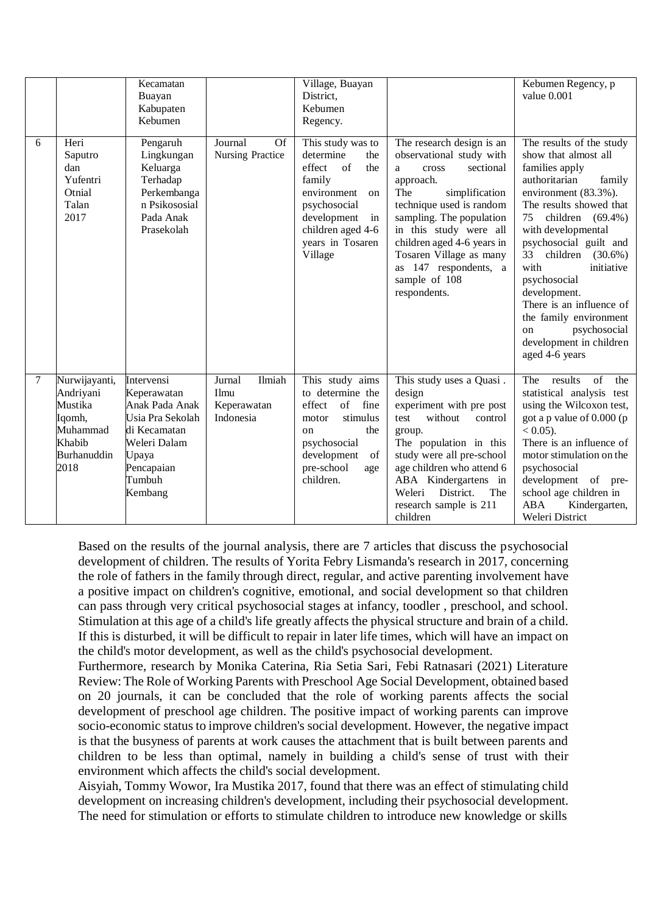|        |                                                                                              | Kecamatan<br>Buayan<br>Kabupaten<br>Kebumen                                                                                                 |                                                      | Village, Buayan<br>District.<br>Kebumen<br>Regency.                                                                                                                                  |                                                                                                                                                                                                                                                                                                                             | Kebumen Regency, p<br>value 0.001                                                                                                                                                                                                                                                                                                                                                                                                            |
|--------|----------------------------------------------------------------------------------------------|---------------------------------------------------------------------------------------------------------------------------------------------|------------------------------------------------------|--------------------------------------------------------------------------------------------------------------------------------------------------------------------------------------|-----------------------------------------------------------------------------------------------------------------------------------------------------------------------------------------------------------------------------------------------------------------------------------------------------------------------------|----------------------------------------------------------------------------------------------------------------------------------------------------------------------------------------------------------------------------------------------------------------------------------------------------------------------------------------------------------------------------------------------------------------------------------------------|
| 6      | Heri<br>Saputro<br>dan<br>Yufentri<br>Otnial<br>Talan<br>2017                                | Pengaruh<br>Lingkungan<br>Keluarga<br>Terhadap<br>Perkembanga<br>n Psikososial<br>Pada Anak<br>Prasekolah                                   | Journal<br><b>Of</b><br>Nursing Practice             | This study was to<br>determine<br>the<br>of<br>effect<br>the<br>family<br>environment<br>on<br>psychosocial<br>development<br>in<br>children aged 4-6<br>years in Tosaren<br>Village | The research design is an<br>observational study with<br>sectional<br>cross<br>a<br>approach.<br>The<br>simplification<br>technique used is random<br>sampling. The population<br>in this study were all<br>children aged 4-6 years in<br>Tosaren Village as many<br>as 147 respondents, a<br>sample of 108<br>respondents. | The results of the study<br>show that almost all<br>families apply<br>authoritarian<br>family<br>environment (83.3%).<br>The results showed that<br>75<br>children $(69.4\%)$<br>with developmental<br>psychosocial guilt and<br>33<br>children<br>$(30.6\%)$<br>with<br>initiative<br>psychosocial<br>development.<br>There is an influence of<br>the family environment<br>psychosocial<br>on<br>development in children<br>aged 4-6 years |
| $\tau$ | Nurwijayanti,<br>Andriyani<br>Mustika<br>Iqomh,<br>Muhammad<br>Khabib<br>Burhanuddin<br>2018 | Intervensi<br>Keperawatan<br>Anak Pada Anak<br>Usia Pra Sekolah<br>di Kecamatan<br>Weleri Dalam<br>Upaya<br>Pencapaian<br>Tumbuh<br>Kembang | Ilmiah<br>Jurnal<br>Ilmu<br>Keperawatan<br>Indonesia | This study aims<br>to determine the<br>of<br>fine<br>effect<br>stimulus<br>motor<br>the<br>on<br>psychosocial<br>development<br>of<br>pre-school<br>age<br>children.                 | This study uses a Quasi.<br>design<br>experiment with pre post<br>without<br>test<br>control<br>group.<br>The population in this<br>study were all pre-school<br>age children who attend 6<br>ABA Kindergartens in<br>Weleri<br>District.<br>The<br>research sample is 211<br>children                                      | $\overline{of}$<br>The results<br>the<br>statistical analysis test<br>using the Wilcoxon test,<br>got a p value of 0.000 (p<br>$< 0.05$ ).<br>There is an influence of<br>motor stimulation on the<br>psychosocial<br>development of pre-<br>school age children in<br><b>ABA</b><br>Kindergarten,<br>Weleri District                                                                                                                        |

Based on the results of the journal analysis, there are 7 articles that discuss the psychosocial development of children. The results of Yorita Febry Lismanda's research in 2017, concerning the role of fathers in the family through direct, regular, and active parenting involvement have a positive impact on children's cognitive, emotional, and social development so that children can pass through very critical psychosocial stages at infancy, toodler , preschool, and school. Stimulation at this age of a child's life greatly affects the physical structure and brain of a child. If this is disturbed, it will be difficult to repair in later life times, which will have an impact on the child's motor development, as well as the child's psychosocial development.

Furthermore, research by Monika Caterina, Ria Setia Sari, Febi Ratnasari (2021) Literature Review: The Role of Working Parents with Preschool Age Social Development, obtained based on 20 journals, it can be concluded that the role of working parents affects the social development of preschool age children. The positive impact of working parents can improve socio-economic status to improve children's social development. However, the negative impact is that the busyness of parents at work causes the attachment that is built between parents and children to be less than optimal, namely in building a child's sense of trust with their environment which affects the child's social development.

Aisyiah, Tommy Wowor, Ira Mustika 2017, found that there was an effect of stimulating child development on increasing children's development, including their psychosocial development. The need for stimulation or efforts to stimulate children to introduce new knowledge or skills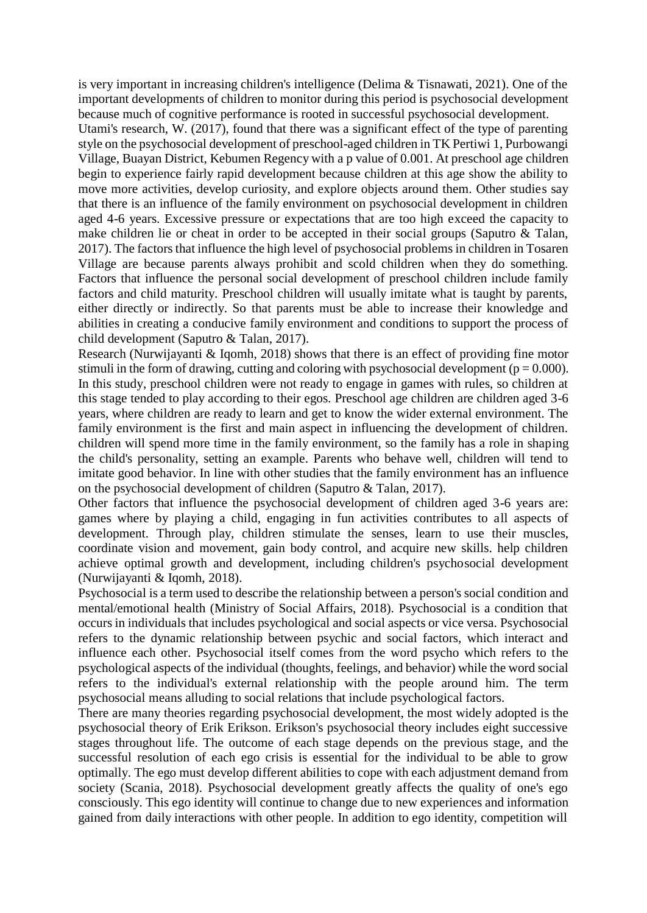is very important in increasing children's intelligence (Delima & Tisnawati, 2021). One of the important developments of children to monitor during this period is psychosocial development because much of cognitive performance is rooted in successful psychosocial development.

Utami's research, W. (2017), found that there was a significant effect of the type of parenting style on the psychosocial development of preschool-aged children in TK Pertiwi 1, Purbowangi Village, Buayan District, Kebumen Regency with a p value of 0.001. At preschool age children begin to experience fairly rapid development because children at this age show the ability to move more activities, develop curiosity, and explore objects around them. Other studies say that there is an influence of the family environment on psychosocial development in children aged 4-6 years. Excessive pressure or expectations that are too high exceed the capacity to make children lie or cheat in order to be accepted in their social groups (Saputro & Talan, 2017). The factors that influence the high level of psychosocial problems in children in Tosaren Village are because parents always prohibit and scold children when they do something. Factors that influence the personal social development of preschool children include family factors and child maturity. Preschool children will usually imitate what is taught by parents, either directly or indirectly. So that parents must be able to increase their knowledge and abilities in creating a conducive family environment and conditions to support the process of child development (Saputro & Talan, 2017).

Research (Nurwijayanti & Iqomh, 2018) shows that there is an effect of providing fine motor stimuli in the form of drawing, cutting and coloring with psychosocial development ( $p = 0.000$ ). In this study, preschool children were not ready to engage in games with rules, so children at this stage tended to play according to their egos. Preschool age children are children aged 3-6 years, where children are ready to learn and get to know the wider external environment. The family environment is the first and main aspect in influencing the development of children. children will spend more time in the family environment, so the family has a role in shaping the child's personality, setting an example. Parents who behave well, children will tend to imitate good behavior. In line with other studies that the family environment has an influence on the psychosocial development of children (Saputro & Talan, 2017).

Other factors that influence the psychosocial development of children aged 3-6 years are: games where by playing a child, engaging in fun activities contributes to all aspects of development. Through play, children stimulate the senses, learn to use their muscles, coordinate vision and movement, gain body control, and acquire new skills. help children achieve optimal growth and development, including children's psychosocial development (Nurwijayanti & Iqomh, 2018).

Psychosocial is a term used to describe the relationship between a person's social condition and mental/emotional health (Ministry of Social Affairs, 2018). Psychosocial is a condition that occurs in individuals that includes psychological and social aspects or vice versa. Psychosocial refers to the dynamic relationship between psychic and social factors, which interact and influence each other. Psychosocial itself comes from the word psycho which refers to the psychological aspects of the individual (thoughts, feelings, and behavior) while the word social refers to the individual's external relationship with the people around him. The term psychosocial means alluding to social relations that include psychological factors.

There are many theories regarding psychosocial development, the most widely adopted is the psychosocial theory of Erik Erikson. Erikson's psychosocial theory includes eight successive stages throughout life. The outcome of each stage depends on the previous stage, and the successful resolution of each ego crisis is essential for the individual to be able to grow optimally. The ego must develop different abilities to cope with each adjustment demand from society (Scania, 2018). Psychosocial development greatly affects the quality of one's ego consciously. This ego identity will continue to change due to new experiences and information gained from daily interactions with other people. In addition to ego identity, competition will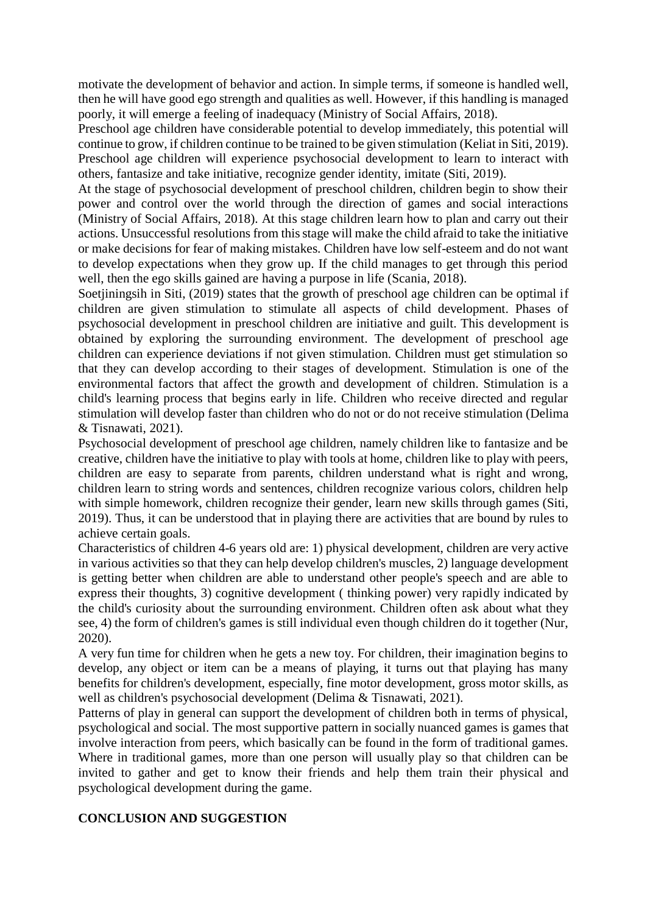motivate the development of behavior and action. In simple terms, if someone is handled well, then he will have good ego strength and qualities as well. However, if this handling is managed poorly, it will emerge a feeling of inadequacy (Ministry of Social Affairs, 2018).

Preschool age children have considerable potential to develop immediately, this potential will continue to grow, if children continue to be trained to be given stimulation (Keliat in Siti, 2019). Preschool age children will experience psychosocial development to learn to interact with others, fantasize and take initiative, recognize gender identity, imitate (Siti, 2019).

At the stage of psychosocial development of preschool children, children begin to show their power and control over the world through the direction of games and social interactions (Ministry of Social Affairs, 2018). At this stage children learn how to plan and carry out their actions. Unsuccessful resolutions from this stage will make the child afraid to take the initiative or make decisions for fear of making mistakes. Children have low self-esteem and do not want to develop expectations when they grow up. If the child manages to get through this period well, then the ego skills gained are having a purpose in life (Scania, 2018).

Soetjiningsih in Siti, (2019) states that the growth of preschool age children can be optimal if children are given stimulation to stimulate all aspects of child development. Phases of psychosocial development in preschool children are initiative and guilt. This development is obtained by exploring the surrounding environment. The development of preschool age children can experience deviations if not given stimulation. Children must get stimulation so that they can develop according to their stages of development. Stimulation is one of the environmental factors that affect the growth and development of children. Stimulation is a child's learning process that begins early in life. Children who receive directed and regular stimulation will develop faster than children who do not or do not receive stimulation (Delima & Tisnawati, 2021).

Psychosocial development of preschool age children, namely children like to fantasize and be creative, children have the initiative to play with tools at home, children like to play with peers, children are easy to separate from parents, children understand what is right and wrong, children learn to string words and sentences, children recognize various colors, children help with simple homework, children recognize their gender, learn new skills through games (Siti, 2019). Thus, it can be understood that in playing there are activities that are bound by rules to achieve certain goals.

Characteristics of children 4-6 years old are: 1) physical development, children are very active in various activities so that they can help develop children's muscles, 2) language development is getting better when children are able to understand other people's speech and are able to express their thoughts, 3) cognitive development ( thinking power) very rapidly indicated by the child's curiosity about the surrounding environment. Children often ask about what they see, 4) the form of children's games is still individual even though children do it together (Nur, 2020).

A very fun time for children when he gets a new toy. For children, their imagination begins to develop, any object or item can be a means of playing, it turns out that playing has many benefits for children's development, especially, fine motor development, gross motor skills, as well as children's psychosocial development (Delima & Tisnawati, 2021).

Patterns of play in general can support the development of children both in terms of physical, psychological and social. The most supportive pattern in socially nuanced games is games that involve interaction from peers, which basically can be found in the form of traditional games. Where in traditional games, more than one person will usually play so that children can be invited to gather and get to know their friends and help them train their physical and psychological development during the game.

# **CONCLUSION AND SUGGESTION**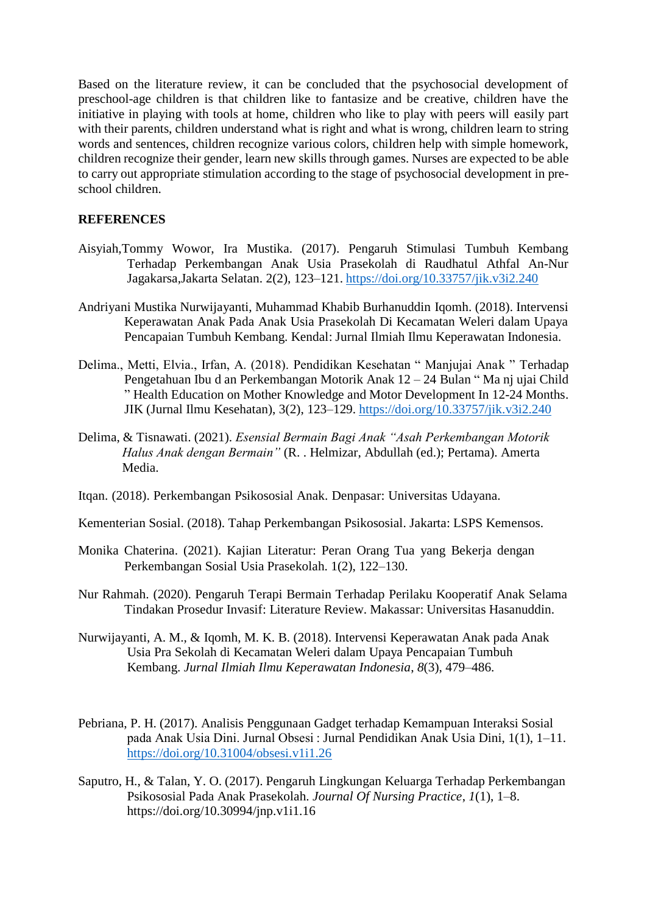Based on the literature review, it can be concluded that the psychosocial development of preschool-age children is that children like to fantasize and be creative, children have the initiative in playing with tools at home, children who like to play with peers will easily part with their parents, children understand what is right and what is wrong, children learn to string words and sentences, children recognize various colors, children help with simple homework, children recognize their gender, learn new skills through games. Nurses are expected to be able to carry out appropriate stimulation according to the stage of psychosocial development in preschool children.

# **REFERENCES**

- Aisyiah,Tommy Wowor, Ira Mustika. (2017). Pengaruh Stimulasi Tumbuh Kembang Terhadap Perkembangan Anak Usia Prasekolah di Raudhatul Athfal An-Nur Jagakarsa,Jakarta Selatan. 2(2), 123–121. <https://doi.org/10.33757/jik.v3i2.240>
- Andriyani Mustika Nurwijayanti, Muhammad Khabib Burhanuddin Iqomh. (2018). Intervensi Keperawatan Anak Pada Anak Usia Prasekolah Di Kecamatan Weleri dalam Upaya Pencapaian Tumbuh Kembang. Kendal: Jurnal Ilmiah Ilmu Keperawatan Indonesia.
- Delima., Metti, Elvia., Irfan, A. (2018). Pendidikan Kesehatan " Manjujai Anak " Terhadap Pengetahuan Ibu d an Perkembangan Motorik Anak 12 – 24 Bulan " Ma nj ujai Child " Health Education on Mother Knowledge and Motor Development In 12-24 Months. JIK (Jurnal Ilmu Kesehatan), 3(2), 123–129. <https://doi.org/10.33757/jik.v3i2.240>
- Delima, & Tisnawati. (2021). *Esensial Bermain Bagi Anak "Asah Perkembangan Motorik Halus Anak dengan Bermain"* (R. . Helmizar, Abdullah (ed.); Pertama). Amerta Media.
- Itqan. (2018). Perkembangan Psikososial Anak. Denpasar: Universitas Udayana.
- Kementerian Sosial. (2018). Tahap Perkembangan Psikososial. Jakarta: LSPS Kemensos.
- Monika Chaterina. (2021). Kajian Literatur: Peran Orang Tua yang Bekerja dengan Perkembangan Sosial Usia Prasekolah. 1(2), 122–130.
- Nur Rahmah. (2020). Pengaruh Terapi Bermain Terhadap Perilaku Kooperatif Anak Selama Tindakan Prosedur Invasif: Literature Review. Makassar: Universitas Hasanuddin.
- Nurwijayanti, A. M., & Iqomh, M. K. B. (2018). Intervensi Keperawatan Anak pada Anak Usia Pra Sekolah di Kecamatan Weleri dalam Upaya Pencapaian Tumbuh Kembang. *Jurnal Ilmiah Ilmu Keperawatan Indonesia*, *8*(3), 479–486.
- Pebriana, P. H. (2017). Analisis Penggunaan Gadget terhadap Kemampuan Interaksi Sosial pada Anak Usia Dini. Jurnal Obsesi : Jurnal Pendidikan Anak Usia Dini, 1(1), 1–11. <https://doi.org/10.31004/obsesi.v1i1.26>
- Saputro, H., & Talan, Y. O. (2017). Pengaruh Lingkungan Keluarga Terhadap Perkembangan Psikososial Pada Anak Prasekolah. *Journal Of Nursing Practice*, *1*(1), 1–8. https://doi.org/10.30994/jnp.v1i1.16